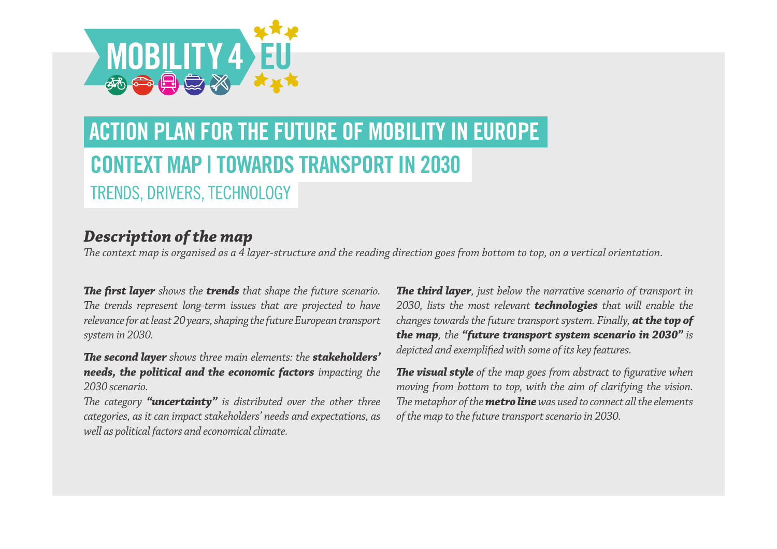

# **CONTEXT MAP | TOWARDS TRANSPORT IN 2030** TRENDS, DRIVERS, TECHNOLOGY **ACTION PLAN FOR THE FUTURE OF MOBILITY IN EUROPE**

## *Description of the map*

*The context map is organised as a 4 layer-structure and the reading direction goes from bottom to top, on a vertical orientation.*

*The first layer shows the trends that shape the future scenario. The trends represent long-term issues that are projected to have relevance for at least 20 years, shaping the future European transport system in 2030.* 

*The second layer shows three main elements: the stakeholders' needs, the political and the economic factors impacting the 2030 scenario.* 

*The category "uncertainty" is distributed over the other three categories, as it can impact stakeholders' needs and expectations, as well as political factors and economical climate.*

*The third layer, just below the narrative scenario of transport in 2030, lists the most relevant technologies that will enable the changes towards the future transport system. Finally, at the top of the map, the "future transport system scenario in 2030" is depicted and exemplified with some of its key features.* 

*The visual style of the map goes from abstract to figurative when moving from bottom to top, with the aim of clarifying the vision. The metaphor of the metro line was used to connect all the elements of the map to the future transport scenario in 2030.*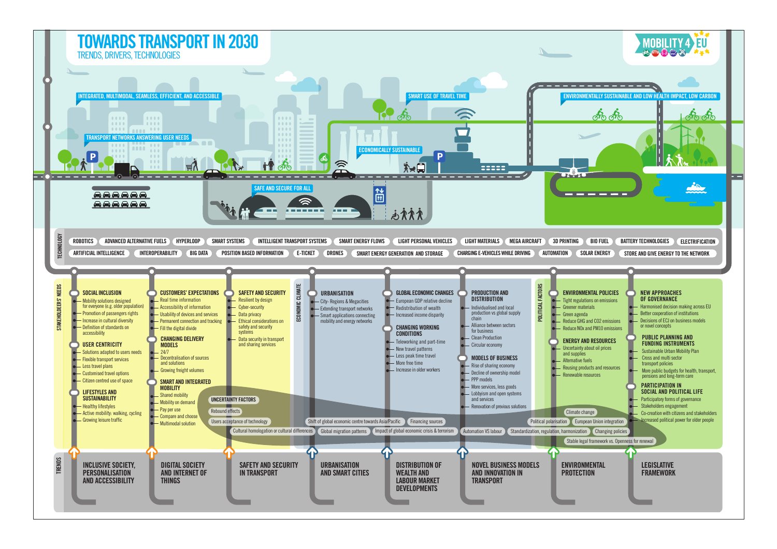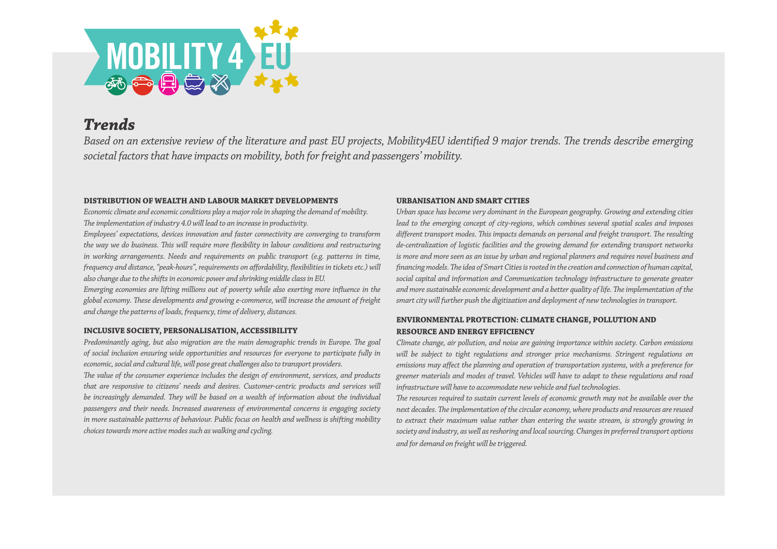

### *Trends*

*Based on an extensive review of the literature and past EU projects, Mobility4EU identified 9 major trends. The trends describe emerging societal factors that have impacts on mobility, both for freight and passengers' mobility.* 

### **DISTRIBUTION OF WEALTH AND LABOUR MARKET DEVELOPMENTS**

*Economic climate and economic conditions play a major role in shaping the demand of mobility. The implementation of industry 4.0 will lead to an increase in productivity.*

*Employees' expectations, devices innovation and faster connectivity are converging to transform the way we do business. This will require more flexibility in labour conditions and restructuring in working arrangements. Needs and requirements on public transport (e.g. patterns in time, frequency and distance, "peak-hours", requirements on affordability, flexibilities in tickets etc.) will also change due to the shifts in economic power and shrinking middle class in EU.*

*Emerging economies are lifting millions out of poverty while also exerting more influence in the global economy. These developments and growing e-commerce, will increase the amount of freight and change the patterns of loads, frequency, time of delivery, distances.*

### **INCLUSIVE SOCIETY, PERSONALISATION, ACCESSIBILITY**

*Predominantly aging, but also migration are the main demographic trends in Europe. The goal of social inclusion ensuring wide opportunities and resources for everyone to participate fully in economic, social and cultural life, will pose great challenges also to transport providers.*

*The value of the consumer experience includes the design of environment, services, and products that are responsive to citizens' needs and desires. Customer-centric products and services will be increasingly demanded. They will be based on a wealth of information about the individual passengers and their needs. Increased awareness of environmental concerns is engaging society in more sustainable patterns of behaviour. Public focus on health and wellness is shifting mobility choices towards more active modes such as walking and cycling.*

### **URBANISATION AND SMART CITIES**

*Urban space has become very dominant in the European geography. Growing and extending cities lead to the emerging concept of city-regions, which combines several spatial scales and imposes different transport modes. This impacts demands on personal and freight transport. The resulting de-centralization of logistic facilities and the growing demand for extending transport networks is more and more seen as an issue by urban and regional planners and requires novel business and financing models. The idea of Smart Cities is rooted in the creation and connection of human capital, social capital and information and Communication technology infrastructure to generate greater and more sustainable economic development and a better quality of life. The implementation of the smart city will further push the digitization and deployment of new technologies in transport.*

### **ENVIRONMENTAL PROTECTION: CLIMATE CHANGE, POLLUTION AND RESOURCE AND ENERGY EFFICIENCY**

*Climate change, air pollution, and noise are gaining importance within society. Carbon emissions will be subject to tight regulations and stronger price mechanisms. Stringent regulations on emissions may affect the planning and operation of transportation systems, with a preference for greener materials and modes of travel. Vehicles will have to adapt to these regulations and road infrastructure will have to accommodate new vehicle and fuel technologies.*

*The resources required to sustain current levels of economic growth may not be available over the next decades. The implementation of the circular economy, where products and resources are reused to extract their maximum value rather than entering the waste stream, is strongly growing in society and industry, as well as reshoring and local sourcing. Changes in preferred transport options and for demand on freight will be triggered.*